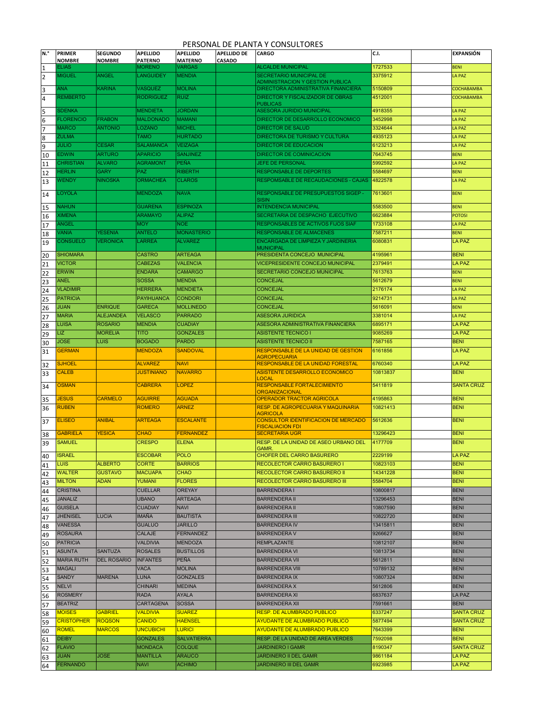## PERSONAL DE PLANTA Y CONSULTORES

| N.°      | <b>PRIMER</b>                    | <b>SEGUNDO</b>                | <b>APELLIDO</b>                     | <b>APELLIDO</b>                     | <b>APELLIDO DE</b> | <b>CARGO</b>                                                                   | C.I.                 | <b>EXPANSIÓN</b>             |
|----------|----------------------------------|-------------------------------|-------------------------------------|-------------------------------------|--------------------|--------------------------------------------------------------------------------|----------------------|------------------------------|
| 1        | <b>NOMBRE</b><br>ELIAS           | <b>NOMBRE</b>                 | <b>PATERNO</b><br>MORENO            | <b>MATERNO</b><br>VARGAS            | CASADO             | <b>ALCALDE MUNICIPAL</b>                                                       | 1727533              | <b>BENI</b>                  |
| 2        | <b>MIGUEL</b>                    | <b>ANGEL</b>                  | <b>LANGUIDEY</b>                    | <b>MENDIA</b>                       |                    | <b>SECRETARIO MUNICIPAL DE</b>                                                 | 3375912              | <b>LA PAZ</b>                |
|          |                                  |                               |                                     |                                     |                    | <b>ADMINISTRACION Y GESTION PUBLICA</b>                                        |                      |                              |
| 3        | <b>ANA</b><br><b>REMBERTO</b>    | <b>KARINA</b>                 | <b>VASQUEZ</b><br><b>RODRIGUEZ</b>  | <b>MOLINA</b><br><b>RUIZ</b>        |                    | DIRECTORA ADMINISTRATIVA FINANCIERA<br><b>DIRECTOR Y FISCALIZADOR DE OBRAS</b> | 5150809              | COCHABAMBA                   |
| 4        |                                  |                               |                                     |                                     |                    | <b>PUBLICAS</b>                                                                | 4512001              | COCHABAMBA                   |
| 5        | <b>SDENKA</b>                    |                               | <b>MENDIETA</b>                     | <b>JORDAN</b>                       |                    | <b>ASESORA JURIDIO MUNICIPAL</b>                                               | 4918355              | <b>LA PAZ</b>                |
| 6        | <b>FLORENCIO</b>                 | <b>FRABON</b>                 | <b>MALDONADO</b>                    | <b>MAMANI</b>                       |                    | DIRECTOR DE DESARROLLO ECONOMICO                                               | 3452998              | <b>LA PAZ</b>                |
| 7        | <b>MARCO</b>                     | <b>ANTONIO</b>                | LOZANO                              | <b>MICHEL</b>                       |                    | <b>DIRECTOR DE SALUD</b>                                                       | 3324644              | <b>LA PAZ</b>                |
| 8        | <b>ZULMA</b>                     |                               | <b>TAMO</b><br><b>SALAMANCA</b>     | <b>HURTADO</b>                      |                    | <b>DIRECTORA DE TURISMO Y CULTURA</b><br><b>DIRECTOR DE EDUCACION</b>          | 4935123<br>6123213   | <b>LA PAZ</b>                |
| 9        | <b>JULIO</b><br>EDWIN            | <b>CESAR</b><br><b>ARTURO</b> | <b>APARICIO</b>                     | <b>VEIZAGA</b><br><b>SANJINEZ</b>   |                    | <b>DIRECTOR DE COMINICACION</b>                                                | 7643745              | <b>LA PAZ</b><br><b>BENI</b> |
| 10<br>11 | <b>CHRISTIAN</b>                 | <b>ALVARO</b>                 | <b>AGRAMONT</b>                     | <b>PEÑA</b>                         |                    | <b>JEFE DE PERSONAL</b>                                                        | 5992592              | LA PAZ                       |
| 12       | <b>HERLIN</b>                    | <b>GARY</b>                   | <b>PAZ</b>                          | <b>RIBERTH</b>                      |                    | <b>RESPONSABLE DE DEPORTES</b>                                                 | 5584697              | <b>BENI</b>                  |
| 13       | WENDY                            | <b>NINOSKA</b>                | <b>ORMACHEA</b>                     | <b>CLAROS</b>                       |                    | <b>RESPOMSABLE DE RECAUDACIONES - CAJAS</b>                                    | 4822578              | <b>LA PAZ</b>                |
|          | LOYOLA                           |                               | <b>MENDOZA</b>                      | <b>NAVA</b>                         |                    | RESPONSABLE DE PRESUPUESTOS SIGEP -                                            | 7613601              | <b>BENI</b>                  |
| 14       |                                  |                               |                                     |                                     |                    | <b>SISIN</b>                                                                   |                      |                              |
| 15       | <b>NAHUN</b>                     |                               | <b>GUARENA</b>                      | <b>ESPINOZA</b>                     |                    | <b>INTENDENCIA MUNICIPAL</b>                                                   | 5583500              | <b>BENI</b>                  |
| 16       | <b>XIMENA</b>                    |                               | <b>ARAMAYO</b>                      | <b>ALIPAZ</b>                       |                    | SECRETARIA DE DESPACHO EJECUTIVO                                               | 6623884              | <b>POTOSI</b>                |
| 17       | ANGEL                            | YESENIA                       | <b>MOY</b><br>ANTELO                | <b>NOE</b><br><b>MONASTERIO</b>     |                    | <b>RESPONSABLES DE ACTIVOS FIJOS SIAF</b><br><b>RESPONSABLE DE ALMACENES</b>   | 1733108<br>7587211   | <b>LA PAZ</b>                |
| 18       | <b>/ANIA</b><br><b>CONSUELO</b>  | <b>VERONICA</b>               | LARREA                              | <b>ALVAREZ</b>                      |                    | ENCARGADA DE LIMPIEZA Y JARDINERIA                                             | 6080831              | <b>BENI</b><br><b>LA PAZ</b> |
| 19       |                                  |                               |                                     |                                     |                    | <b>MUNICIPAL</b>                                                               |                      |                              |
| 20       | <b>SHIOMARA</b>                  |                               | <b>CASTRO</b>                       | <b>ARTEAGA</b>                      |                    | PRESIDENTA CONCEJO MUNICIPAL                                                   | 4195961              | <b>BENI</b>                  |
| 21       | <b>VICTOR</b>                    |                               | <b>CABEZAS</b>                      | <b>VALENCIA</b>                     |                    | <b>VICEPRESIDENTE CONCEJO MUNICIPAL</b>                                        | 2379491              | <b>LA PAZ</b>                |
| 22       | <b>ERWIN</b><br><b>ANEL</b>      |                               | <b>ENDARA</b><br><b>SOSSA</b>       | <b>CAMARGO</b><br><b>MENDIA</b>     |                    | <b>SECRETARIO CONCEJO MUNICIPAL</b><br><b>CONCEJAL</b>                         | 7613763<br>5612679   | <b>BENI</b>                  |
| 23       | <b>VLADIMIR</b>                  |                               | <b>HERRERA</b>                      | <b>MENDIETA</b>                     |                    | <b>CONCEJAL</b>                                                                | 2176174              | <b>BENI</b><br><b>LA PAZ</b> |
| 24<br>25 | <b>PATRICIA</b>                  |                               | <b>PAYIHUANCA</b>                   | <b>CONDORI</b>                      |                    | <b>CONCEJAL</b>                                                                | 9214731              | <b>LA PAZ</b>                |
| 26       | <b>JUAN</b>                      | <b>ENRIQUE</b>                | <b>GARECA</b>                       | <b>MOLLINEDO</b>                    |                    | <b>CONCEJAL</b>                                                                | 5616091              | <b>BENI</b>                  |
| 27       | <b>MARIA</b>                     | <b>ALEJANDEA</b>              | <b>VELASCO</b>                      | <b>PARRADO</b>                      |                    | <b>ASESORA JURIDICA</b>                                                        | 3381014              | LA PAZ                       |
| 28       | <b>LUISA</b>                     | <b>ROSARIO</b>                | <b>MENDIA</b>                       | <b>CUADIAY</b>                      |                    | ASESORA ADMINISTRATIVA FINANCIERA                                              | 6895171              | <b>LA PAZ</b>                |
| 29       | LIZ                              | <b>MORELIA</b>                | <b>TITO</b>                         | <b>GONZALES</b>                     |                    | <b>ASISTENTE TECNICO I</b>                                                     | 9085269              | <b>LA PAZ</b>                |
| 30       | <b>JOSE</b>                      | LUIS                          | <b>BOGADO</b>                       | <b>PARDO</b>                        |                    | <b>ASISTENTE TECNICO II</b>                                                    | 7587165              | <b>BENI</b>                  |
| 31       | <b>GERMAN</b>                    |                               | <b>MENDOZA</b>                      | <b>SANDOVAL</b>                     |                    | <b>RESPONSABLE DE LA UNIDAD DE GESTION</b><br><b>AGROPECUARIA</b>              | 6161856              | <b>LA PAZ</b>                |
| 32       | <b>SJHOEL</b>                    |                               | <b>ALVAREZ</b>                      | <b>NAVI</b>                         |                    | <b>RESPONSABLE DE LA UNIDAD FORESTAL</b>                                       | 6760340              | LA PAZ                       |
| 33       | CALEB                            |                               | <b>JUSTINIANO</b>                   | <b>NAVARRO</b>                      |                    | ASISTENTE DESARROLLO ECONOMICO                                                 | 10813837             | <b>BENI</b>                  |
| 34       | <b>OSMAN</b>                     |                               | <b>CABRERA</b>                      | <b>LOPEZ</b>                        |                    | LOCAL<br>RESPONSABLE FORTALECIMIENTO                                           | 5411819              | <b>SANTA CRUZ</b>            |
|          |                                  |                               |                                     |                                     |                    | <b>ORGANIZACIONAL</b>                                                          |                      |                              |
| 35       | <b>JESUS</b>                     | <b>CARMELO</b>                | <b>AGUIRRE</b>                      | <b>AGUADA</b>                       |                    | <b>OPERADOR TRACTOR AGRICOLA</b>                                               | 4195863              | <b>BENI</b>                  |
| 36       | <b>RUBEN</b>                     |                               | <b>ROMERO</b>                       | <b>ARNEZ</b>                        |                    | <b>RESP. DE AGROPECUARIA Y MAQUINARIA</b><br><b>AGRICOLA</b>                   | 10821413             | <b>BENI</b>                  |
| 37       | <b>ELISEO</b>                    | <b>ANIBAL</b>                 | <b>ARTEAGA</b>                      | <b>ESCALANTE</b>                    |                    | <b>CONSULTOR IDENTIFICACION DE MERCADO</b>                                     | 5612636              | <b>BENI</b>                  |
| 38       | GABRIELA                         | <b>YESICA</b>                 | <b>CHAO</b>                         | <b>FERNANDEZ</b>                    |                    | <b>FISCALIACION FDI</b><br><b>SECRETARIA UGR</b>                               | 13296423             | <b>BENI</b>                  |
| 39       | <b>SAMUEL</b>                    |                               | <b>CRESPO</b>                       | <b>ELENA</b>                        |                    | RESP. DE LA UNIDAD DE ASEO URBANO DEL                                          | 4177709              | <b>BENI</b>                  |
|          |                                  |                               |                                     |                                     |                    | GAMR.                                                                          |                      |                              |
| 40       | <b>ISRAEL</b><br><b>LUIS</b>     | <b>ALBERTO</b>                | <b>ESCOBAR</b><br><b>CORTE</b>      | POLO<br><b>BARRIOS</b>              |                    | CHOFER DEL CARRO BASURERO<br>RECOLECTOR CARRO BASURERO I                       | 2229199<br>10823103  | <b>LA PAZ</b><br><b>BENI</b> |
| 41<br>42 | <b>WALTER</b>                    | <b>GUSTAVO</b>                | <b>MACUAPA</b>                      | <b>CHAO</b>                         |                    | RECOLECTOR CARRO BASURERO II                                                   | 14341228             | <b>BENI</b>                  |
| 43       | <b>MILTON</b>                    | <b>ADAN</b>                   | YUMANI                              | <b>FLORES</b>                       |                    | RECOLECTOR CARRO BASURERO III                                                  | 5584704              | <b>BENI</b>                  |
| 44       | <b>CRISTINA</b>                  |                               | <b>CUELLAR</b>                      | <b>OREYAY</b>                       |                    | <b>BARRENDERA I</b>                                                            | 10800817             | <b>BENI</b>                  |
| 45       | <b>JANALIZ</b>                   |                               | <b>UBANO</b>                        | <b>ARTEAGA</b>                      |                    | <b>BARRENDERA II</b>                                                           | 13296453             | <b>BENI</b>                  |
| 46       | <b>GUISELA</b>                   |                               | <b>CUADIAY</b>                      | <b>NAVI</b>                         |                    | <b>BARRENDERA II</b>                                                           | 10807590             | <b>BENI</b>                  |
| 47       | <b>JHENISEL</b>                  | <b>LUCIA</b>                  | IMAÑA                               | <b>BAUTISTA</b>                     |                    | <b>BARRENDERA III</b>                                                          | 10822720             | <b>BENI</b>                  |
| 48       | <b>VANESSA</b>                   |                               | <b>GUALUO</b>                       | <b>JARILLO</b>                      |                    | <b>BARRENDERA IV</b>                                                           | 13415811             | <b>BENI</b>                  |
| 49       | <b>ROSAURA</b>                   |                               | CALAJE<br><b>VALDIVIA</b>           | <b>FERNANDEZ</b>                    |                    | <b>BARRENDERA V</b><br><b>REMPLAZANTE</b>                                      | 9266627              | <b>BENI</b><br><b>BENI</b>   |
| 50       | <b>PATRICIA</b><br><b>ASUNTA</b> | <b>SANTUZA</b>                | <b>ROSALES</b>                      | <b>MENDOZA</b><br><b>BUSTILLOS</b>  |                    | <b>BARRENDERA VI</b>                                                           | 10812107<br>10813734 | <b>BENI</b>                  |
| 51<br>52 | <b>MARIA RUTH</b>                | <b>DEL ROSARIO</b>            | <b>INFANTES</b>                     | PEÑA                                |                    | <b>BARRENDERA VII</b>                                                          | 5612811              | <b>BENI</b>                  |
| 53       | <b>MAGALI</b>                    |                               | <b>VACA</b>                         | <b>MOLINA</b>                       |                    | <b>BARRENDERA VIII</b>                                                         | 10789132             | <b>BENI</b>                  |
| 54       | <b>SANDY</b>                     | <b>MARENA</b>                 | <b>LUNA</b>                         | <b>GONZALES</b>                     |                    | <b>BARRENDERA IX</b>                                                           | 10807324             | <b>BENI</b>                  |
| 55       | <b>NELVI</b>                     |                               | <b>CHINARI</b>                      | <b>MEDINA</b>                       |                    | <b>BARRENDERA X</b>                                                            | 5612806              | <b>BENI</b>                  |
| 56       | <b>ROSMERY</b>                   |                               | RADA                                | <b>AYALA</b>                        |                    | <b>BARRENDERA XI</b>                                                           | 6837637              | <b>LA PAZ</b>                |
| 57       | <b>BEATRIZ</b>                   |                               | CARTAGENA                           | <b>SOSSA</b>                        |                    | <b>BARRENDERA XII</b>                                                          | 7591661              | <b>BENI</b>                  |
| 58       | <b>MOISES</b>                    | <b>GABRIEL</b>                | <b>VALDIVIA</b>                     | <b>SUAREZ</b>                       |                    | RESP. DE ALUMBRADO PUBLICO                                                     | 6337247              | <b>SANTA CRUZ</b>            |
| 59       | <b>CRISTOPHER</b>                | <b>ROQSON</b>                 | <b>CANIDO</b>                       | <b>HAENSEL</b>                      |                    | <b>AYUDANTE DE ALUMBRADO PUBLICO</b>                                           | 5877494              | <b>SANTA CRUZ</b>            |
| 60       | <b>ROMEL</b><br><b>DEIBY</b>     | <b>MARCOS</b>                 | <b>UNCUBICHI</b><br><b>GONZALES</b> | <b>LURICI</b><br><b>SALVATIERRA</b> |                    | AYUDANTE DE ALUMBRADO PUBLICO<br>RESP. DE LA UNIDAD DE AREA VERDES             | 7643399<br>7592098   | <b>BENI</b><br><b>BENI</b>   |
| 61       | <b>FLAVIO</b>                    |                               | <b>MONDACA</b>                      | <b>COLQUE</b>                       |                    | JARDINERO I GAMR                                                               | 8190347              | <b>SANTA CRUZ</b>            |
| 62<br>63 | <b>JUAN</b>                      | <b>JOSE</b>                   | <b>MANTILLA</b>                     | <b>ARAUCO</b>                       |                    | JARDINERO II DEL GAMR                                                          | 9861184              | LA PAZ                       |
| 64       | <b>FERNANDO</b>                  |                               | <b>NAVI</b>                         | <b>ACHIMO</b>                       |                    | JARDINERO III DEL GAMR                                                         | 6923985              | LA PAZ                       |
|          |                                  |                               |                                     |                                     |                    |                                                                                |                      |                              |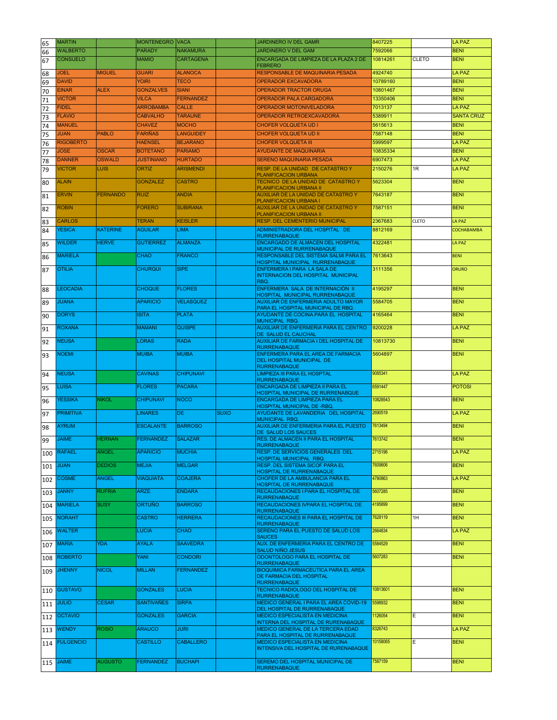| 65  | <b>MARTIN</b>      |                 | <b>MONTENEGRO</b> | <b>VACA</b>      |             | JARDINERO IV DEL GAMR                                                     | 8407225  |              | <b>LA PAZ</b>     |
|-----|--------------------|-----------------|-------------------|------------------|-------------|---------------------------------------------------------------------------|----------|--------------|-------------------|
| 66  | <b>WALBERTO</b>    |                 | <b>PARADY</b>     | <b>NAKAMURA</b>  |             | JARDINERO V DEL GAM                                                       | 7592066  |              | <b>BENI</b>       |
| 67  | <b>CONSUELO</b>    |                 | <b>MAMIO</b>      | <b>CARTAGENA</b> |             | ENCARGADA DE LIMPIEZA DE LA PLAZA 2 DE                                    | 10814261 | <b>CLETO</b> | <b>BENI</b>       |
|     |                    |                 |                   |                  |             | <b>FEBRERO</b>                                                            |          |              |                   |
| 68  | <b>JOEL</b>        | <b>MIGUEL</b>   | <b>GUARI</b>      | <b>ALANOCA</b>   |             | RESPONSABLE DE MAQUINARIA PESADA                                          | 4924740  |              | <b>LA PAZ</b>     |
| 69  | <b>DAVID</b>       |                 | <b>YOIRI</b>      | <b>TECO</b>      |             | <b>OPERADOR EXCAVADORA</b>                                                | 10789160 |              | <b>BENI</b>       |
| 70  | <b>EINAR</b>       | <b>ALEX</b>     | <b>GONZALVES</b>  | <b>SIANI</b>     |             | <b>OPERADOR TRACTOR ORUGA</b>                                             | 10801467 |              | <b>BENI</b>       |
| 71  | <b>VICTOR</b>      |                 | <b>VILCA</b>      | <b>FERNANDEZ</b> |             | <b>OPERADOR PALA CARGADORA</b>                                            | 13350406 |              | <b>BENI</b>       |
| 72  | <b>FIDEL</b>       |                 | <b>ARROBAMBA</b>  | <b>CALLE</b>     |             | <b>OPERADOR MOTONIVELADORA</b>                                            | 7013137  |              | <b>LA PAZ</b>     |
|     | <b>FLAVIO</b>      |                 | <b>CABVALHO</b>   | <b>TARAUNE</b>   |             | OPERADOR RETROEXCAVADORA                                                  | 5389911  |              | <b>SANTA CRUZ</b> |
| 73  | <b>MANUEL</b>      |                 | <b>CHAVEZ</b>     | <b>MOCHO</b>     |             | <b>CHOFER VOLQUETA UD I</b>                                               | 5615613  |              | <b>BENI</b>       |
| 74  | <b>JUAN</b>        |                 | <b>FARIÑAS</b>    |                  |             |                                                                           |          |              | <b>BENI</b>       |
| 75  |                    | <b>PABLO</b>    |                   | <b>LANGUIDEY</b> |             | <b>CHOFER VOLQUETA UD II</b>                                              | 7587148  |              |                   |
| 76  | <b>RIGOBERTO</b>   |                 | <b>HAENSEL</b>    | <b>BEJARANO</b>  |             | <b>CHOFER VOLQUETA III</b>                                                | 5999597  |              | <b>LA PAZ</b>     |
| 77  | <b>JOSE</b>        | <b>OSCAR</b>    | <b>BOTETANO</b>   | <b>PARIAMO</b>   |             | <b>AYUDANTE DE MAQUINARIA</b>                                             | 10835334 |              | <b>BENI</b>       |
| 78  | <b>DANNER</b>      | <b>OSWALD</b>   | <b>JUSTINIANO</b> | <b>HURTADO</b>   |             | <b>SERENO MAQUINARIA PESADA</b>                                           | 6907473  |              | <b>LA PAZ</b>     |
| 79  | <b>VICTOR</b>      | LUIS            | <b>ORTIZ</b>      | <b>ARISMENDI</b> |             | RESP. DE LA UNIDAD DE CATASTRO Y                                          | 2150276  | 1R           | <b>LA PAZ</b>     |
| 80  | <b>ALAIN</b>       |                 | <b>GONZALEZ</b>   | <b>CASTRO</b>    |             | PLANIFICACION URBANA<br>TECNICO DE LA UNIDAD DE CATASTRO Y                | 5623304  |              | <b>BENI</b>       |
|     |                    |                 |                   |                  |             | PLANIFICACION URBANA II                                                   |          |              |                   |
| 81  | ERVIN              | <b>FERNANDO</b> | <b>RUIZ</b>       | <b>ANDIA</b>     |             | AUXILIAR DE LA UNIDAD DE CATASTRO Y                                       | 7643187  |              | <b>BENI</b>       |
|     | <b>ROBIN</b>       |                 | <b>FORERO</b>     | <b>SUBIRANA</b>  |             | PLANIFICACION URBANA I<br>AUXILIAR DE LA UNIDAD DE CATASTRO Y             | 7587151  |              | <b>BENI</b>       |
| 82  |                    |                 |                   |                  |             | PLANIFICACION URBANA II                                                   |          |              |                   |
| 83  | CARLOS             |                 | <b>TERAN</b>      | <b>KEISLER</b>   |             | <b>RESP. DEL CEMENTERIO MUNICIPAL</b>                                     | 2367683  | <b>CLETO</b> | LA PAZ            |
| 84  | <b>YESICA</b>      | <b>KATERINE</b> | <b>AGUILAR</b>    | <b>LIMA</b>      |             | ADMINISTRADORA DEL HOSPITAL DE                                            | 8812169  |              | COCHABAMBA        |
|     |                    |                 |                   |                  |             | <b>RURRENABAQUE</b>                                                       |          |              |                   |
| 85  | <b>WILDER</b>      | <b>HERVE</b>    | <b>GUTIERREZ</b>  | <b>ALMANZA</b>   |             | ENCARGADO DE ALMACEN DEL HOSPITAL<br>MUNICIPAL DE RURRENABAQUE            | 4322481  |              | <b>LA PAZ</b>     |
| 86  | <b>MARIELA</b>     |                 | <b>CHAO</b>       | <b>FRANCO</b>    |             | <b>RESPONSABLE DEL SISTEMA SALMI PARA EL</b>                              | 7613643  |              | <b>BENI</b>       |
|     |                    |                 |                   |                  |             | HOSPITAL MUNICIPAL RURRENABAQUE                                           |          |              |                   |
| 87  | <b>OTILIA</b>      |                 | <b>CHURQUI</b>    | <b>SIPE</b>      |             | ENFERMERA I PARA LA SALA DE                                               | 3111356  |              | <b>ORURO</b>      |
|     |                    |                 |                   |                  |             | INTERNACION DEL HOSPITAL MUNICIPAL<br>RBQ.                                |          |              |                   |
| 88  | <b>LEOCADIA</b>    |                 | <b>CHOQUE</b>     | <b>FLORES</b>    |             | ENFERMERA SALA DE INTERNACIÓN II                                          | 4195297  |              | <b>BENI</b>       |
|     |                    |                 |                   |                  |             | HOSPITAL MUNICIPAL RURRENABAQUE                                           |          |              |                   |
| 89  | <b>JUANA</b>       |                 | <b>APARICIO</b>   | <b>VELASQUEZ</b> |             | AUXILIAR DE ENFERMERIA ADULTO MAYOR                                       | 5584705  |              | <b>BENI</b>       |
|     | <b>DORYS</b>       |                 | <b>ISITA</b>      | <b>PLATA</b>     |             | PARA EL HOSPITAL MUNICIPAL DE RBQ.<br>AYUDANTE DE COCINA PARA EL HOSPITAL | 4165464  |              | <b>BENI</b>       |
| 90  |                    |                 |                   |                  |             | MUNICIPAL RBQ.                                                            |          |              |                   |
| 91  | <b>ROXANA</b>      |                 | <b>MAMANI</b>     | <b>QUISPE</b>    |             | AUXILIAR DE ENFERMERIA PARA EL CENTRO                                     | 9200228  |              | <b>LA PAZ</b>     |
|     |                    |                 | <b>LORAS</b>      | <b>RADA</b>      |             | DE SALUD EL CAUCHAL                                                       | 10813730 |              | <b>BENI</b>       |
| 92  | <b>NEUSA</b>       |                 |                   |                  |             | AUXILIAR DE FARMACIA I DEL HOSPITAL DE<br><b>RURRENABAQUE</b>             |          |              |                   |
| 93  | <b>NOEMI</b>       |                 | <b>MUIBA</b>      | <b>MUIBA</b>     |             | <b>ENFERMERA PARA EL AREA DE FARMACIA</b>                                 | 5604897  |              | <b>BENI</b>       |
|     |                    |                 |                   |                  |             | DEL HOSPITAL MUNICIPAL DE                                                 |          |              |                   |
|     | <b>NEUSA</b>       |                 | <b>CAVINAS</b>    | <b>CHIPUNAVI</b> |             | <b>RURRENABAQUE</b><br>LIMPIEZA III PARA EL HOSPTAL                       | 9085341  |              | <b>LA PAZ</b>     |
| 94  |                    |                 |                   |                  |             | <b>RURRENABAQUE</b>                                                       |          |              |                   |
| 95  | <b>LUISA</b>       |                 | <b>FLORES</b>     | <b>PACARA</b>    |             | ENCARGADA DE LIMPIEZA II PARA EL                                          | 6591447  |              | <b>POTOSI</b>     |
|     |                    | <b>NIKOL</b>    |                   |                  |             | HOSPITAL MUNICIPAL DE RURRENABQUE                                         |          |              |                   |
| 96  | YESSIKA            |                 | <b>CHIPUNAVI</b>  | <b>NOCO</b>      |             | ENCARGADA DE LIMPIEZA PARA EL<br>HOSPITAL MUNICIPAL DE -RBQ.              | 10828543 |              | <b>BENI</b>       |
| 97  | <b>PRIMITIVA</b>   |                 | <b>LINARES</b>    | DE.              | <b>SUXO</b> | AYUDANTE DE LAVANDERIA DEL HOSPITAL                                       | 2690519  |              | <b>LA PAZ</b>     |
|     |                    |                 |                   |                  |             | MUNICIPAL RBQ.                                                            |          |              |                   |
| 98  | <b>AYRUM</b>       |                 | <b>ESCALANTE</b>  | <b>BARROSO</b>   |             | <b>AUXILIAR DE ENFERMERIA PARA EL PUESTO</b><br>DE SALUD LOS SAUCES       | 7613494  |              | <b>BENI</b>       |
| 99  | <b>JAIME</b>       | <b>HERNAN</b>   | <b>FERNANDEZ</b>  | <b>SALAZAR</b>   |             | RES. DE ALMACEN II PARA EL HOSPITAL                                       | 7613742  |              | <b>BENI</b>       |
|     |                    |                 |                   |                  |             | <b>RURRENABAQUE</b>                                                       |          |              |                   |
|     | 100 RAFAEL         | <b>ANGEL</b>    | <b>APARICIO</b>   | <b>MUCHIA</b>    |             | RESP. DE SERVICIOS GENERALES DEL<br>HOSPITAL MUNICIPAL RBQ.               | 2715196  |              | LA PAZ            |
| 101 | <b>JUAN</b>        | <b>DEDIOS</b>   | <b>MEJIA</b>      | <b>MELGAR</b>    |             | <b>RESP. DEL SISTEMA SICOF PARA EL</b>                                    | 7609806  |              | <b>BENI</b>       |
|     |                    |                 |                   |                  |             | HOSPITAL DE RURRENABAQUE                                                  |          |              |                   |
| 102 | <b>COSME</b>       | <b>ANGEL</b>    | <b>VIAQUIATA</b>  | <b>COAJERA</b>   |             | CHOFER DE LA AMBULANCIA PARA EL                                           | 4780863  |              | <b>LA PAZ</b>     |
|     | <b>JANNY</b>       | <b>RUFRIA</b>   | <b>ARZE</b>       | <b>ENDARA</b>    |             | HOSPITAL DE RURRENABAQUE<br>RECAUDACIONES I PARA EL HOSPITAL DE           | 5607285  |              | <b>BENI</b>       |
| 103 |                    |                 |                   |                  |             | <b>RURRENABAQUE</b>                                                       |          |              |                   |
| 104 | <b>MARIELA</b>     | <b>SUSY</b>     | <b>ORTUÑO</b>     | <b>BARROSO</b>   |             | RECAUDACIONES IVPARA EL HOSPITAL DE                                       | 4195899  |              | <b>BENI</b>       |
|     | <b>NORAHT</b>      |                 | <b>CASTRO</b>     | <b>HERRERA</b>   |             | <b>RURRENABAQUE</b><br>RECAUDACIONES III PARA EL HOSPITAL DE              | 7628119  | 1H           | <b>BENI</b>       |
| 105 |                    |                 |                   |                  |             | <b>RURRENABAQUE</b>                                                       |          |              |                   |
| 106 | <b>WALTER</b>      |                 | <b>LUCIA</b>      | <b>CHAO</b>      |             | SERENO PARA EL PUESTO DE SALUD LOS                                        | 2664834  |              | <b>LA PAZ</b>     |
|     |                    |                 |                   |                  |             | <b>SAUCES</b>                                                             |          |              |                   |
| 107 | <b>MARIA</b>       | <b>YDA</b>      | <b>AYALA</b>      | <b>SAAVEDRA</b>  |             | AUX. DE ENFERMERIA PARA EL CENTRO DE<br><b>SALUD NIÑO JESUS</b>           | 5584529  |              | <b>BENI</b>       |
| 108 | <b>ROBERTO</b>     |                 | YANI              | <b>CONDORI</b>   |             | ODONTOLOGO PARA EL HOSPITAL DE                                            | 5607283  |              | <b>BENI</b>       |
|     |                    |                 |                   |                  |             | <b>RURRENABAQUE</b>                                                       |          |              |                   |
| 109 | <b>JHENNY</b>      | <b>NICOL</b>    | <b>MILLAN</b>     | <b>FERNANDEZ</b> |             | <b>BIOQUIMICA FARMACEUTICA PARA EL AREA</b><br>DE FARMACIA DEL HOSPITAL   |          |              |                   |
|     |                    |                 |                   |                  |             | <b>RURRENABAQUE</b>                                                       |          |              |                   |
|     | 110 <b>GUSTAVO</b> |                 | <b>GONZALES</b>   | <b>LUCIA</b>     |             | TECNICO RADIOLOGO DEL HOSPITAL DE                                         | 10813601 |              | <b>BENI</b>       |
|     |                    |                 |                   |                  |             | <b>RURRENABAQUE</b>                                                       |          |              |                   |
| 111 | <b>JULIO</b>       | <b>CESAR</b>    | SANTIVAÑES        | <b>SIRPA</b>     |             | MEDICO GENERAL I PARA EL AREA COVID-19<br>DEL HOSPITAL DE RURRENABAQUE    | 5598932  |              | <b>BENI</b>       |
| 112 | <b>OCTAVIO</b>     |                 | <b>GONZALES</b>   | <b>GARCIA</b>    |             | <b>MEDICO ESPECIALISTA EN MEDICINA</b>                                    | 1126054  | E            | <b>BENI</b>       |
|     |                    |                 |                   |                  |             | INTERNA DEL HOSPITAL DE RURENABAQUE                                       |          |              |                   |
| 113 | <b>WENDY</b>       | <b>ROSIO</b>    | <b>ARAUCO</b>     | <b>JURI</b>      |             | MEDICO GENERAL DE LA TERCERA EDAD<br>PARA EL HOSPITAL DE RURRENABAQUE     | 8326743  |              | <b>LA PAZ</b>     |
| 114 | <b>FULGENCIO</b>   |                 | <b>CASTILLO</b>   | <b>CABALLERO</b> |             | <b>MEDICO ESPECIALISTA EN MEDICINA</b>                                    | 10158065 | E            | <b>BENI</b>       |
|     |                    |                 |                   |                  |             | INTENSIVA DEL HOSPITAL DE RURENABAQUE                                     |          |              |                   |
|     |                    |                 |                   |                  |             |                                                                           |          |              |                   |
|     | 115 JAIME          | <b>AUGUSTO</b>  | <b>FERNANDEZ</b>  | <b>BUCHAPI</b>   |             | SEREMO DEL HOSPITAL MUNICIPAL DE<br><b>RURRENABAQUE</b>                   | 7587159  |              | <b>BENI</b>       |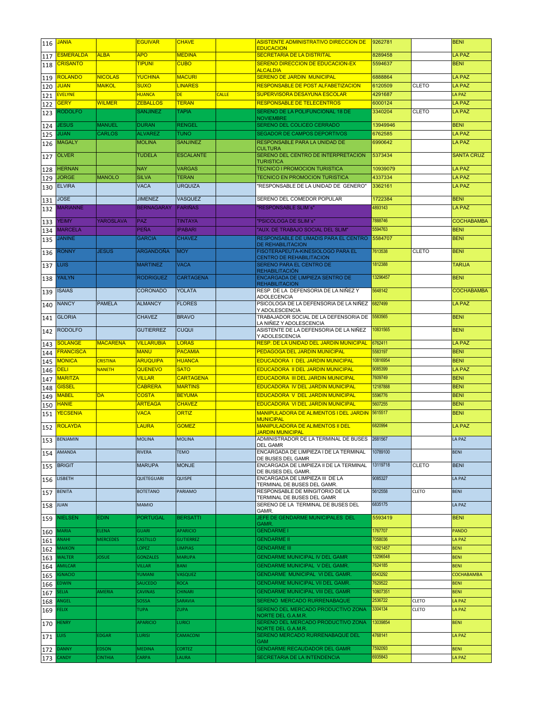| 116 | <b>JANIA</b>                  |                 | <b>EGUIVAR</b>                | <b>CHAVE</b>                  |       | ASISTENTE ADMINISTRATIVO DIRECCION DE<br><b>EDUCACION</b>                                  | 9262781             |                              | <b>BENI</b>                    |
|-----|-------------------------------|-----------------|-------------------------------|-------------------------------|-------|--------------------------------------------------------------------------------------------|---------------------|------------------------------|--------------------------------|
| 117 | <b>ESMERALDA</b>              | <b>ALBA</b>     | <b>APO</b>                    | <b>MEDINA</b>                 |       | SECRETARIA DE LA DISTRITAL                                                                 | 8289458             |                              | <b>LA PAZ</b>                  |
| 118 | <b>CRISANTO</b>               |                 | <b>TIPUNI</b>                 | <b>CUBO</b>                   |       | <b>SERENO DIRECCION DE EDUCACION-EX</b>                                                    | 5594637             |                              | <b>BENI</b>                    |
| 119 | <b>ROLANDO</b>                | <b>NICOLAS</b>  | YUCHINA                       | <b>MACURI</b>                 |       | <b>ALCALDIA</b><br><b>SERENO DE JARDIN MUNICIPAL</b>                                       | 6888864             |                              | <b>LA PAZ</b>                  |
| 120 | <b>JUAN</b>                   | <b>MAIKOL</b>   | <b>SUXO</b>                   | <b>LINARES</b>                |       | <b>RESPONSABLE DE POST ALFABETIZACION</b>                                                  | 6120509             | <b>CLETO</b>                 | LA PAZ                         |
| 121 | <b>EVELYNE</b>                |                 | <b>HUANCA</b>                 | <b>DE</b>                     | CALLE | SUPERVISORA DESAYUNA ESCOLAR                                                               | 4291687             |                              | LA PAZ                         |
| 122 | <b>GERY</b>                   | <b>WILMER</b>   | <b>ZEBALLOS</b>               | <b>TERAN</b>                  |       | <b>RESPONSABLE DE TELECENTROS</b>                                                          | 6000124             |                              | <b>LA PAZ</b>                  |
| 123 | <b>RODOLFO</b>                |                 | <b>SANJINEZ</b>               | <b>TAPIA</b>                  |       | SERENO DE LA POLIFUNCIONAL 18 DE<br><b>NOVIEMBRE</b>                                       | 3340204             | CLETO                        | <b>LA PAZ</b>                  |
| 124 | <b>IESUS</b>                  | <b>MANUEL</b>   | <b>DURAN</b>                  | <b>RENGEL</b>                 |       | SERENO DEL COLICEO CERRADO                                                                 | 13949946            |                              | <b>BENI</b>                    |
| 125 | <b>JUAN</b>                   | <b>CARLOS</b>   | <b>ALVAREZ</b>                | <b>TUNO</b>                   |       | <b>SEGADOR DE CAMPOS DEPORTIVOS</b>                                                        | 6762585             |                              | <b>LA PAZ</b>                  |
| 126 | <b>MAGALY</b>                 |                 | <b>MOLINA</b>                 | <b>SANJINEZ</b>               |       | RESPONSABLE PARA LA UNIDAD DE                                                              | 6990642             |                              | <b>LA PAZ</b>                  |
| 127 | <b>OLVER</b>                  |                 | <b>TUDELA</b>                 | <b>ESCALANTE</b>              |       | <b>CULTURA</b><br>SERENO DEL CENTRO DE INTERPRETACION                                      | 5373434             |                              | <b>SANTA CRUZ</b>              |
|     |                               |                 |                               |                               |       | <b>TURISTICA</b>                                                                           |                     |                              |                                |
| 128 | <b>HERNAN</b><br><b>JORGE</b> | <b>MANOLO</b>   | <b>NAY</b><br><b>SILVA</b>    | <b>VARGAS</b><br><b>TERAN</b> |       | <b>TECNICO I PROMOCION TURISTICA</b><br><b>TECNICO EN PROMOCION TURISTICA</b>              | 10939079<br>4337334 |                              | <b>LA PAZ</b><br><b>LA PAZ</b> |
| 129 | <b>ELVIRA</b>                 |                 | <b>VACA</b>                   | <b>URQUIZA</b>                |       | "RESPONSABLE DE LA UNIDAD DE GENERO"                                                       | 3362161             |                              | <b>LA PAZ</b>                  |
| 130 |                               |                 |                               |                               |       |                                                                                            |                     |                              |                                |
| 131 | <b>JOSE</b>                   |                 | <b>JIMENEZ</b>                | <b>VASQUEZ</b>                |       | SERENO DEL COMEDOR POPULAR                                                                 | 1722384             |                              | <b>BENI</b>                    |
| 132 | <b>MARIANNE</b>               |                 | <b>BERNAGARAY</b>             | <b>FARIÑAS</b>                |       | "RESPONSABLE SLIM's"                                                                       | 4893143             |                              | <b>LA PAZ</b>                  |
| 133 | <b>YEIMY</b>                  | YAROSLAVA       | <b>PAZ</b>                    | <b>TINTAYA</b>                |       | "PSICOLOGA DE SLIM's"                                                                      | 7888746             |                              | <b>COCHABAMBA</b>              |
| 134 | <b>MARCELA</b>                |                 | PEÑA                          | <b>IPABARI</b>                |       | "AUX. DE TRABAJO SOCIAL DEL SLIM"                                                          | 5594763             |                              | <b>BENI</b>                    |
| 135 | <b>JANINE</b>                 |                 | <b>GARCIA</b>                 | <b>CHAVEZ</b>                 |       | RESPONSABLE DE UMADIS PARA EL CENTRO<br><b>DE REHABILITACION</b>                           | 5584707             |                              | <b>BENI</b>                    |
| 136 | RONNY                         | <b>JESUS</b>    | <b>ARGANDOÑA</b>              | <b>MOY</b>                    |       | FISOTERAPEUTA-KINESIOLOGO PARA EL                                                          | 7613538             | CLETO                        | <b>BENI</b>                    |
|     | .uis                          |                 | <b>MARTINEZ</b>               | <b>VACA</b>                   |       | CENTRO DE REHABILITACION<br>SERENO PARA EL CENTRO DE                                       | 1812388             |                              | <b>TARIJA</b>                  |
| 137 |                               |                 |                               |                               |       | <b>REHABILITACIÓN</b>                                                                      |                     |                              |                                |
| 138 | YAILYN                        |                 | <b>RODRIGUEZ</b>              | <b>CARTAGENA</b>              |       | <b>ENCARGADA DE LIMPIEZA SENTRO DE</b><br><b>REHABILITACION</b>                            | 13296457            |                              | <b>BENI</b>                    |
| 139 | <b>ISAIAS</b>                 |                 | <b>CORONADO</b>               | <b>YOLATA</b>                 |       | RESP. DE LA DEFENSORIA DE LA NIÑEZ Y                                                       | 5648142             |                              | <b>COCHABAMBA</b>              |
|     | <b>NANCY</b>                  | <b>PAMELA</b>   | <b>ALMANCY</b>                | <b>FLORES</b>                 |       | <b>ADOLECENCIA</b><br>PSICOLOGA DE LA DEFENSORIA DE LA NIÑEZ                               | 6827499             |                              | <b>LA PAZ</b>                  |
| 140 |                               |                 |                               |                               |       | Y ADOLESCENCIA                                                                             |                     |                              |                                |
| 141 | <b>GLORIA</b>                 |                 | <b>CHAVEZ</b>                 | <b>BRAVO</b>                  |       | TRABAJADOR SOCIAL DE LA DEFENSORIA DE<br>LA NIÑEZ Y ADOLESCENCIA                           | 5583565             |                              | <b>BENI</b>                    |
| 142 | <b>RODOLFO</b>                |                 | <b>GUTIERREZ</b>              | <b>CUQUI</b>                  |       | ASISTENTE DE LA DEFENSORIA DE LA NIÑEZ                                                     | 10831565            |                              | <b>BENI</b>                    |
| 143 | <b>SOLANGE</b>                | <b>MACARENA</b> | <b>VILLARUBIA</b>             | <b>LORAS</b>                  |       | Y ADOLESCENCIA<br><b>RESP. DE LA UNIDAD DEL JARDIN MUNICIPAL</b>                           | 6762411             |                              | <b>LA PAZ</b>                  |
| 144 | <b>FRANCISCA</b>              |                 | <b>MANU</b>                   | <b>PACAMIA</b>                |       | <b>PEDAGOGA DEL JARDIN MUNICIPAL</b>                                                       | 5583197             |                              | <b>BENI</b>                    |
| 145 | <b>MONICA</b>                 | <b>CRISTINA</b> | <b>ARUQUIPA</b>               | <b>HUANCA</b>                 |       | <b>EDUCADORA I DEL JARDIN MUNICIPAL</b>                                                    | 10816954            |                              | <b>BENI</b>                    |
| 146 | <b>DELI</b>                   | <b>NANETH</b>   | QUENEVO                       | <b>SATO</b>                   |       | <b>EDUCADORA II DEL JARDIN MUNICIPAL</b>                                                   | 9085399             |                              | <b>LA PAZ</b>                  |
| 147 | <b>MARITZA</b>                |                 | <b>VILLAR</b>                 | <b>CARTAGENA</b>              |       | <b>EDUCADORA III DEL JARDIN MUNICIPAL</b>                                                  | 7609749             |                              | <b>BENI</b>                    |
| 148 | <b>GISSEL</b>                 |                 | <b>CABRERA</b>                | <b>MARTINS</b>                |       | EDUCADORA IV DEL JARDIN MUNICIPAL                                                          | 12187888            |                              | <b>BENI</b>                    |
| 149 | <b>MABEL</b>                  | <b>DA</b>       | <b>COSTA</b>                  | <b>BEYUMA</b>                 |       | <b>EDUCADORA V DEL JARDIN MUNICIPAL</b>                                                    | 5596776             |                              | <b>BENI</b>                    |
| 150 | HANIE<br><b>YECSENIA</b>      |                 | <b>ARTEAGA</b><br><b>VACA</b> | <b>CHAVEZ</b><br><b>ORTIZ</b> |       | <b>EDUCADORA VI DEL JARDIN MUNICIPAL</b><br>MANIPULADORA DE ALIMENTOS I DEL JARDIN 5615517 | 5607255             |                              | <b>BENI</b><br><b>BENI</b>     |
| 151 |                               |                 |                               |                               |       | <b>MUNICIPAL</b>                                                                           |                     |                              |                                |
| 152 | ROLAYDA                       |                 | <b>LAURA</b>                  | <b>GOMEZ</b>                  |       | <b>MANIPULADORA DE ALIMENTOS II DEL</b><br><b>JARDIN MUNICIPAL</b>                         | 6820994             |                              | <b>LA PAZ</b>                  |
| 153 | <b>BENJAMIN</b>               |                 | <b>MOLINA</b>                 | <b>MOLINA</b>                 |       | ADMINISTRADOR DE LA TERMINAL DE BUSES                                                      | 2681567             |                              | <b>LA PAZ</b>                  |
| 154 | <b>AMANDA</b>                 |                 | RIVERA                        | <b>TEMO</b>                   |       | <b>DEL GAMR</b><br>ENCARGADA DE LIMPIEZA I DE LA TERMINAL                                  | 10789100            |                              | <b>BENI</b>                    |
|     |                               |                 |                               |                               |       | DE BUSES DEL GAMR                                                                          |                     |                              |                                |
| 155 | <b>BRIGIT</b>                 |                 | <b>MARUPA</b>                 | <b>MONJE</b>                  |       | ENCARGADA DE LIMPIEZA II DE LA TERMINAL<br>DE BUSES DEL GAMR.                              | 13119718            | <b>CLETO</b>                 | <b>BENI</b>                    |
| 156 | <b>LISBETH</b>                |                 | QUETEGUARI                    | <b>QUISPE</b>                 |       | ENCARGADA DE LIMPIEZA III DE LA                                                            | 9085327             |                              | LA PAZ                         |
| 157 | <b>BENITA</b>                 |                 | <b>BOTETANO</b>               | PARIAMO                       |       | TERMINAL DE BUSES DEL GAMR.<br>RESPONSABLE DE MINGITORIO DE LA                             | 5612558             | <b>CLETO</b>                 | <b>BENI</b>                    |
|     |                               |                 |                               |                               |       | TERMINAL DE BUSES DEL GAMR                                                                 |                     |                              |                                |
| 158 | <b>JUAN</b>                   |                 | <b>MAMIO</b>                  |                               |       | SERENO DE LA TERMINAL DE BUSES DEL<br>GAMR.                                                | 6835175             |                              | LA PAZ                         |
| 159 | <b>NIELSEN</b>                | <b>EDIN</b>     | <b>PORTUGAL</b>               | <b>BERSATTI</b>               |       | JEFE DE GENDARME MUNICIPALES DEL<br>GAMR.                                                  | 5593419             |                              | <b>BENI</b>                    |
| 160 | <b>MARIA</b>                  | <b>ELENA</b>    | <b>GUARI</b>                  | <b>APARICIO</b>               |       | <b>GENDARME I</b>                                                                          | 1767707             |                              | <b>PANDO</b>                   |
| 161 | <b>IHAN</b>                   | <b>MERCEDES</b> | CASTILLO                      | <b>GUTIERREZ</b>              |       | <b>GENDARME II</b>                                                                         | 7058036             |                              | LA PAZ                         |
| 162 | <b>MAIKON</b>                 |                 | LOPEZ                         | <b>LIMPIAS</b>                |       | <b>GENDARME III</b>                                                                        | 10821457            |                              | <b>BENI</b>                    |
| 163 |                               | <b>JOSUE</b>    | <b>GONZALES</b>               | <b>MARUPA</b>                 |       | <b>GENDARME MUNICIPAL IV DEL GAMR</b>                                                      | 13296548            |                              | <b>BENI</b>                    |
|     | <b>WALTER</b>                 |                 |                               |                               |       | <b>GENDARME MUNICIPAL V DEL GAMR.</b>                                                      | 7624185             |                              | <b>BENI</b>                    |
| 164 | <b>AMILCAR</b>                |                 | VILLAR                        | <b>BANI</b>                   |       |                                                                                            |                     |                              |                                |
| 165 | <b>GNACIO</b>                 |                 | <b>YUMANI</b>                 | <b>VASQUEZ</b>                |       | <b>GENDARME MUNICIPAL VI DEL GAMR.</b>                                                     | 6543292             |                              | COCHABAMBA                     |
| 166 | :DWIN                         |                 | SAUCEDO                       | <b>ROCA</b>                   |       | <b>GENDARME MUNICIPAL VII DEL GAMR.</b>                                                    | 7629522             |                              | <b>BENI</b>                    |
| 167 | ELIA                          | <b>AMERIA</b>   | CAVINAS                       | <b>CHINARI</b>                |       | <b>GENDARME MUNICIPAL VIII DEL GAMR</b>                                                    | 10807351            |                              | <b>BENI</b>                    |
| 168 | ANGEL<br><b>FELIX</b>         |                 | SOSSA<br><b>TUPA</b>          | SARAVIA<br><b>ZUPA</b>        |       | SERENO MERCADO RURRENABAQUE<br>SERENO DEL MERCADO PRODUCTIVO ZONA                          | 2536722<br>3304134  | <b>CLETO</b><br><b>CLETO</b> | <b>LA PAZ</b><br>LA PAZ        |
| 169 |                               |                 |                               |                               |       | NORTE DEL G.A.M.R.                                                                         |                     |                              |                                |
| 170 | <b>IENRY</b>                  |                 | <b>APARICIO</b>               | LURICI                        |       | SERENO DEL MERCADO PRODUCTIVO ZONA<br>NORTE DEL G.A.M.R.                                   | 13039854            |                              | <b>BENI</b>                    |
| 171 | UIS.                          | <b>EDGAR</b>    | LURISI                        | CAMACONI                      |       | SERENO MERCADO RURRENABAQUE DEL                                                            | 4768141             |                              | <b>LA PAZ</b>                  |
| 172 | <b>DANNY</b>                  | <b>EDSON</b>    | MEDINA                        | <b>CORTEZ</b>                 |       | <b>GAM</b><br><b>GENDARME RECAUDADOR DEL GAMR</b>                                          | 7592093             |                              | <b>BENI</b>                    |